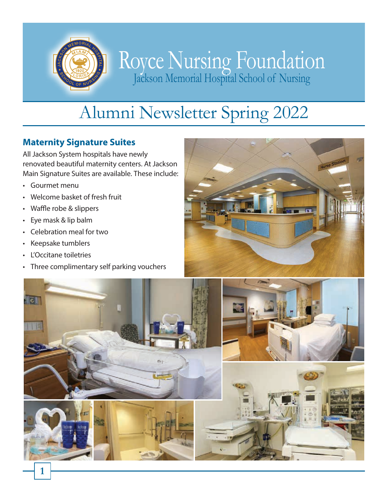

# Royce Nursing Foundation Jackson Memorial Hospital School of Nursing

# Alumni Newsletter Spring 2022

# **Maternity Signature Suites**

All Jackson System hospitals have newly renovated beautiful maternity centers. At Jackson Main Signature Suites are available. These include:

- Gourmet menu
- Welcome basket of fresh fruit
- Waffle robe & slippers
- Eye mask & lip balm
- Celebration meal for two
- Keepsake tumblers
- L'Occitane toiletries
- Three complimentary self parking vouchers



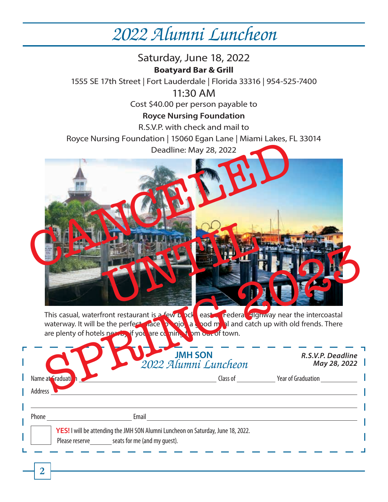# *2022 Alumni Luncheon*

Saturday, June 18, 2022 **Boatyard Bar & Grill** 1555 SE 17th Street | Fort Lauderdale | Florida 33316 | 954-525-7400 11:30 AM Cost \$40.00 per person payable to **Royce Nursing Foundation** R.S.V.P. with check and mail to Royce Nursing Foundation | 15060 Egan Lane | Miami Lakes, FL 33014 Deadline: May 28, 2022 This casual, waterfront restaurant is a few block east of Federal HIghway near the intercoastal waterway. It will be the perfect place  $\frac{1}{2}$  a good meal and catch up with old frends. There are plenty of hotels nearby if you are coming it om out of town. Name at Graduation and Graduation Class of The Year of Graduation Class of The Year of Graduation Address Phone **Email JMH SON** *2022 Alumni Luncheon R.S.V.P. Deadline May 28, 2022* **YES!** I will be attending the JMH SON Alumni Luncheon on Saturday, June 18, 2022. Please reserve \_\_\_\_\_\_\_ seats for me (and my guest). Deadline: May 28, 2022 UNTER S This casual, waterfront restaurant is a few to case of Federal Elginway near the intercoastal<br>are plenty of hotels no the perfect and the perfect of the state of the state of the state of the state of the state of the sta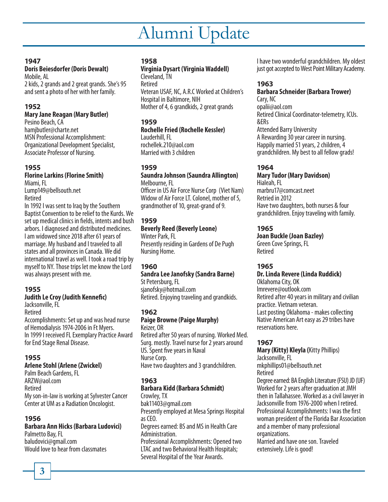# Alumni Update

#### **1947**

#### **Doris Beiesdorfer (Doris Dewalt)** Mobile, AL

2 kids, 2 grands and 2 great grands. She's 95 and sent a photo of her with her family.

## **1952**

### **Mary Jane Reagan (Mary Butler)**

Pesino Beach, CA hamjbutler@charte.net MSN Professional Accomplishment: Organizational Development Specialist, Associate Professor of Nursing.

#### **1955**

#### **Florine Larkins (Florine Smith)** Miami, FL

Lump149@bellsouth.net Retired

In 1992 I was sent to Iraq by the Southern Baptist Convention to be relief to the Kurds. We set up medical clinics in fields, intents and bush arbors. I diagnosed and distributed medicines. I am widowed since 2018 after 61 years of marriage. My husband and I traveled to all states and all provinces in Canada. We did international travel as well. I took a road trip by myself to NY. Those trips let me know the Lord was always present with me.

### **1955**

#### **Judith Le Croy (Judith Kennefic)**

Jacksonville, FL

Retired

Accomplishments: Set up and was head nurse of Hemodialysis 1974-2006 in Ft Myers. In 1999 I received FL Exemplary Practice Award for End Stage Renal Disease.

## **1955**

#### **Arlene Stohl (Arlene (Zwickel)**

Palm Beach Gardens, FL ARZW@aol.com Retired My son-in-law is working at Sylvester Cancer Center at UM as a Radiation Oncologist.

### **1956**

#### **Barbara Ann Hicks (Barbara Ludovici)**

Palmetto Bay, FL baludovici@gmail.com Would love to hear from classmates

### **1958**

#### **Virginia Dysart (Virginia Waddell)** Cleveland, TN

Retired Veteran USAF, NC, A.R.C Worked at Children's Hospital in Baltimore, NIH Mother of 4, 6 grandkids, 2 great grands

#### **1959**

**Rochelle Fried (Rochelle Kessler)** Lauderhill, FL rochellek.210@aol.com

Married with 3 children

## **1959**

**Saundra Johnson (Saundra Allington)** Melbourne, FL

Officer in US Air Force Nurse Corp (Viet Nam) Widow of Air Force LT. Colonel, mother of 5, grandmother of 10, great-grand of 9.

### **1959**

#### **Beverly Reed (Beverly Leone)** Winter Park, FL

Presently residing in Gardens of De Pugh Nursing Home.

### **1960**

## **Sandra Lee Janofsky (Sandra Barne)**

St Petersburg, FL sjanofsky@hotmail.com Retired. Enjoying traveling and grandkids.

### **1962**

### **Paige Browne (Paige Murphy)**

Keizer, OR Retired after 50 years of nursing. Worked Med. Surg. mostly. Travel nurse for 2 years around US. Spent five years in Naval Nurse Corp. Have two daughters and 3 grandchildren.

### **1963**

#### **Barbara Kidd (Barbara Schmidt)** Crowley, TX

bak11403@gmail.com Presently employed at Mesa Springs Hospital as CEO. Degrees earned: BS and MS in Health Care Administration.

Professional Accomplishments: Opened two LTAC and two Behavioral Health Hospitals; Several Hospital of the Year Awards.

I have two wonderful grandchildren. My oldest just got accepted to West Point Military Academy.

## **1963**

**Barbara Schneider (Barbara Trower)** Cary, NC opalii@aol.com Retired Clinical Coordinator-telemetry, ICUs. &ERs Attended Barry University A Rewarding 30 year career in nursing. Happily married 51 years, 2 children, 4 grandchildren. My best to all fellow grads!

## **1964**

**Mary Tudor (Mary Davidson)** Hialeah, FL marbru17@comcast.neet Retried in 2012 Have two daughters, both nurses & four grandchildren. Enjoy traveling with family.

### **1965**

**Joan Buckle (Joan Bazley)** Green Cove Springs, FL Retired

### **1965**

**Dr. Linda Revere (Linda Ruddick)** Oklahoma City, OK lmrevere@outlook.com Retired after 40 years in military and civilian practice. Vietnam veteran. Last posting Oklahoma - makes collecting Native American Art easy as 29 tribes have reservations here.

### **1967**

**Mary (Kitty) Kleyla (**Kitty Phillips) Jacksonville, FL mkphillips01@bellsouth.net Retired Degree earned: BA English Literature (FSU) JD (UF) Worked for 2 years after graduation at JMH then in Tallahassee. Worked as a civil lawyer in Jacksonville from 1976-2000 when I retired. Professional Accomplishments: I was the first woman president of the Florida Bar Association and a member of many professional organizations.

Married and have one son. Traveled extensively. Life is good!

**3**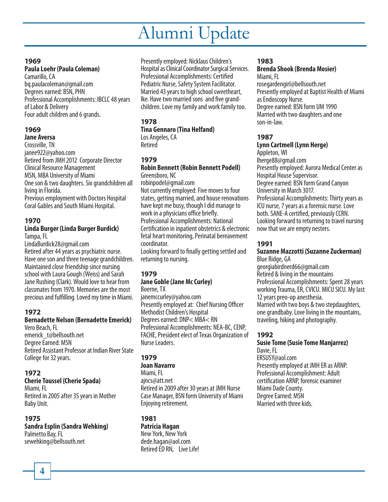# Alumni Update

#### **1969**

## **Paula Loehr (Paula Coleman)**

Camarillo, CA bq.paulacoleman@gmail.com Degrees earned: BSN, PHN Professional Accomplishments: IBCLC 48 years of Labor & Delivery Four adult children and 6 grands.

## **1969**

#### **Jane Aversa**

Crossville, TN janee922@yahoo.com Retired from JMH 2012 Corporate Director Clinical Resource Management MSN, MBA University of Miami One son & two daughters. Six grandchildren all living in Florida. Previous employment with Doctors Hospital

Coral Gables and South Miami Hospital.

## **1970**

#### **Linda Burger (Linda Burger Burdick)** Tampa, FL

LindaBurdick28@gmail.com Retired after 44 years as psychiatric nurse. Have one son and three teenage grandchildren. Maintained close friendship since nursing school with Laura Gough (Weiss) and Sarah Jane Rushing (Clark). Would love to hear from classmates from 1970. Memories are the most precious and fulfilling. Loved my time in Miami.

## **1972**

## **Bernadette Nelson (Bernadette Emerick)**

Vero Beach, FL emerick\_t@bellsouth.net Degree Earned: MSN Retired Assistant Professor at Indian River State College for 32 years.

### **1972**

### **Cherie Toussel (Cherie Spada)**

Miami, FL Retired in 2005 after 35 years in Mother Baby Unit.

### **1975**

**Sandra Esplin (Sandra Wehking)** Palmetto Bay, FL sewehking@bellsouth.net

Presently employed: Nicklaus Children's Hospital as Clinical Coordinator Surgical Services. Professional Accomplishments: Certified Pediatric Nurse, Safety System Facilitator. Married 43 years to high school sweetheart, Ike. Have two married sons and five grandchildren. Love my family and work family too.

### **1978**

## **Tina Gennaro (Tina Helfand)**

Los Angeles, CA Retired

## **1979**

#### **Robin Bennett (Robin Bennett Podell)** Greensboro, NC

robinpodel@gmail.com Not currently employed: Five moves to four states, getting married, and house renovations have kept me busy, though I did manage to work in a physicians office briefly. Professional Accomplishments: National Certification in inpatient obstetrics & electronic fetal heart monitoring, Perinatal bereavement coordinator.

Looking forward to finally getting settled and returning to nursing.

## **1979**

### **Jane Goble (Jane Mc Curley)**

Boerne, TX janemccurley@yahoo.com Presently employed at: Chief Nursing Officer Methodist Children's Hospital Degrees earned: DNP< MBA< RN Professional Accomplishments: NEA-BC, CENP, FACHE, President elect of Texas Organization of Nurse Leaders.

## **1979**

#### **Joan Navarro**

Miami, FL ajncs@att.net Retired in 2009 after 30 years at JMH Nurse Case Manager, BSN form University of Miami Enjoying retirement.

## **1981**

**Patricia Hagan** New York, New York dede.hagan@aol.com Retired ED RN, Live Life!

#### **1983**

#### **Brenda Shook (Brenda Mosier)** Miami, FL

rosegardengirl@bellsouth.net Presently employed at Baptist Health of Miami as Endoscopy Nurse. Degree earned: BSN form UM 1990 Married with two daughters and one son-in-law.

### **1987**

**Lynn Cartmell (Lynn Herge)** Appleton, WI lherge88@gmail.com Presently employed: Aurora Medical Center as Hospital House Supervisor. Degree earned: BSN form Grand Canyon University in March 3017. Professional Accomplishments: Thirty years as ICU nurse, 7 years as a forensic nurse. Love both. SANE-A certified, previously CCRN. Looking forward to returning to travel nursing now that we are empty nesters.

### **1991**

#### **Suzanne Mazzotti (Suzanne Zuckerman)** Blue Ridge, GA

georgiabirdnerd66@gmail.com Retired & living in the mountains Professional Accomplishments: Spent 28 years working Trauma, ER, CVICU. MICU SICU. My last 12 years preo-op anesthesia. Married with two boys & two stepdaughters, one grandbaby. Love living in the mountains, traveling, hiking and photography.

### **1992**

**Susie Tome (Susie Tome Manjarrez)** Davie, FL ERSUSY@aol.com Presently employed at JMH ER as ARNP. Professional Accomplishment: Adult certification ARNP, forensic examiner Miami Dade County. Degree Earned: MSN Married with three kids.

**4**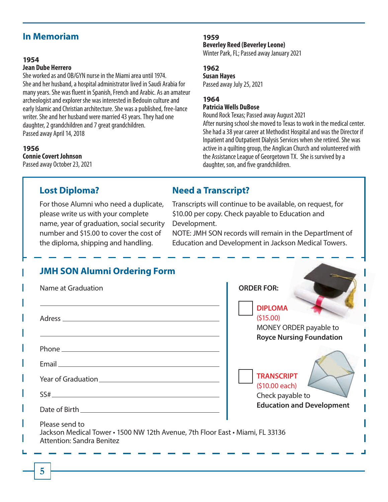## **In Memoriam**

#### **1954**

#### **Jean Dube Herrero**

She worked as and OB/GYN nurse in the Miami area until 1974. She and her husband, a hospital administrator lived in Saudi Arabia for many years. She was fluent in Spanish, French and Arabic. As an amateur archeologist and explorer she was interested in Bedouin culture and early Islamic and Christian architecture. She was a published, free-lance writer. She and her husband were married 43 years. They had one daughter, 2 grandchildren and 7 great grandchildren. Passed away April 14, 2018

#### **1956**

**Connie Covert Johnson** Passed away October 23, 2021

#### **1959**

**Beverley Reed (Beverley Leone)**

Winter Park, FL; Passed away January 2021

#### **1962**

**Susan Hayes** Passed away July 25, 2021

## **1964**

#### **Patricia Wells DuBose**

Round Rock Texas; Passed away August 2021 After nursing school she moved to Texas to work in the medical center. She had a 38 year career at Methodist Hospital and was the Director if Inpatient and Outpatient Dialysis Services when she retired. She was active in a quilting group, the Anglican Church and volunteered with the Assistance League of Georgetown TX. She is survived by a daughter, son, and five grandchildren.

## **Lost Diploma?**

For those Alumni who need a duplicate, please write us with your complete name, year of graduation, social security number and \$15.00 to cover the cost of the diploma, shipping and handling.

## **Need a Transcript?**

Transcripts will continue to be available, on request, for \$10.00 per copy. Check payable to Education and Development.

NOTE: JMH SON records will remain in the Departlment of Education and Development in Jackson Medical Towers.

| Name at Graduation                                                                                                                                                                                                             | <b>ORDER FOR:</b>                                                                       |
|--------------------------------------------------------------------------------------------------------------------------------------------------------------------------------------------------------------------------------|-----------------------------------------------------------------------------------------|
|                                                                                                                                                                                                                                | <b>DIPLOMA</b><br>(515.00)<br>MONEY ORDER payable to<br><b>Royce Nursing Foundation</b> |
|                                                                                                                                                                                                                                |                                                                                         |
| Email experience and the contract of the contract of the contract of the contract of the contract of the contract of the contract of the contract of the contract of the contract of the contract of the contract of the contr |                                                                                         |
|                                                                                                                                                                                                                                | <b>TRANSCRIPT</b>                                                                       |
|                                                                                                                                                                                                                                | (\$10.00 each)<br>Check payable to                                                      |
|                                                                                                                                                                                                                                | <b>Education and Development</b>                                                        |
| Please send to<br>Jackson Medical Tower • 1500 NW 12th Avenue, 7th Floor East • Miami, FL 33136<br><b>Attention: Sandra Benitez</b>                                                                                            |                                                                                         |